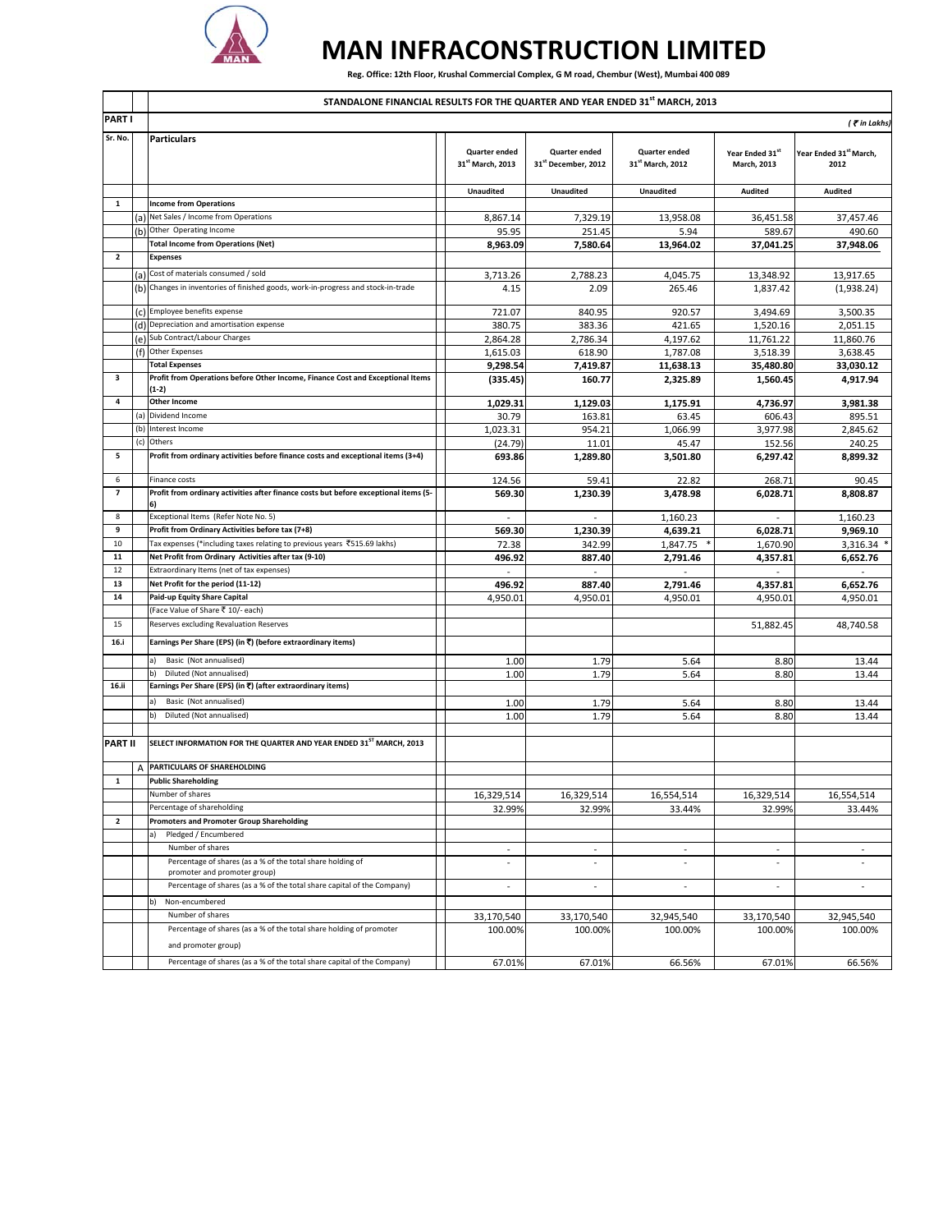

## **MAN INFRACONSTRUCTION LIMITED**

Reg. Office: 12th Floor, Krushal Commercial Complex, G M road, Chembur (West), Mumbai 400 089

|                          |     | STANDALONE FINANCIAL RESULTS FOR THE QUARTER AND YEAR ENDED 31st MARCH, 2013                                           |                                          |                                      |                                   |                                |                                |  |  |  |
|--------------------------|-----|------------------------------------------------------------------------------------------------------------------------|------------------------------------------|--------------------------------------|-----------------------------------|--------------------------------|--------------------------------|--|--|--|
| <b>PART I</b>            |     |                                                                                                                        |                                          |                                      |                                   |                                | (Tin Lakhs)                    |  |  |  |
| Sr. No.                  |     | <b>Particulars</b>                                                                                                     | <b>Quarter ended</b><br>31st March, 2013 | Quarter ended<br>31st December, 2012 | Quarter ended<br>31st March, 2012 | Year Ended 31st<br>March, 2013 | Year Ended 31st March,<br>2012 |  |  |  |
|                          |     |                                                                                                                        | <b>Unaudited</b>                         | <b>Unaudited</b>                     | <b>Unaudited</b>                  | Audited                        | Audited                        |  |  |  |
| 1                        |     | <b>Income from Operations</b>                                                                                          |                                          |                                      |                                   |                                |                                |  |  |  |
|                          |     | (a) Net Sales / Income from Operations                                                                                 | 8,867.14                                 | 7,329.19                             | 13,958.08                         | 36,451.58                      | 37,457.46                      |  |  |  |
|                          |     | (b) Other Operating Income                                                                                             | 95.95                                    | 251.45                               | 5.94                              | 589.67                         | 490.60                         |  |  |  |
| $\overline{\mathbf{2}}$  |     | <b>Total Income from Operations (Net)</b><br><b>Expenses</b>                                                           | 8,963.09                                 | 7,580.64                             | 13,964.02                         | 37,041.25                      | 37,948.06                      |  |  |  |
|                          |     |                                                                                                                        |                                          |                                      |                                   |                                |                                |  |  |  |
|                          |     | (a) Cost of materials consumed / sold<br>Changes in inventories of finished goods, work-in-progress and stock-in-trade | 3,713.26                                 | 2,788.23                             | 4,045.75                          | 13,348.92                      | 13,917.65                      |  |  |  |
|                          | (b) |                                                                                                                        | 4.15                                     | 2.09                                 | 265.46                            | 1,837.42                       | (1,938.24)                     |  |  |  |
|                          |     | (c) Employee benefits expense                                                                                          | 721.07                                   | 840.95                               | 920.57                            | 3,494.69                       | 3,500.35                       |  |  |  |
|                          |     | (d) Depreciation and amortisation expense                                                                              | 380.75                                   | 383.36                               | 421.65                            | 1,520.16                       | 2,051.15                       |  |  |  |
|                          |     | (e) Sub Contract/Labour Charges                                                                                        | 2,864.28                                 | 2,786.34                             | 4,197.62                          | 11,761.22                      | 11,860.76                      |  |  |  |
|                          |     | (f) Other Expenses                                                                                                     | 1,615.03                                 | 618.90                               | 1,787.08                          | 3,518.39                       | 3,638.45                       |  |  |  |
|                          |     | <b>Total Expenses</b>                                                                                                  | 9,298.54                                 | 7,419.87                             | 11,638.13                         | 35,480.80                      | 33,030.12                      |  |  |  |
| 3                        |     | Profit from Operations before Other Income, Finance Cost and Exceptional Items<br>(1-2)                                | (335.45)                                 | 160.77                               | 2,325.89                          | 1,560.45                       | 4,917.94                       |  |  |  |
| 4                        |     | <b>Other Income</b>                                                                                                    | 1,029.31                                 | 1,129.03                             | 1,175.91                          | 4.736.97                       | 3,981.38                       |  |  |  |
|                          | (a) | Dividend Income                                                                                                        | 30.79                                    | 163.81                               | 63.45                             | 606.43                         | 895.51                         |  |  |  |
|                          | (b) | Interest Income                                                                                                        | 1,023.31                                 | 954.21                               | 1,066.99                          | 3,977.98                       | 2,845.62                       |  |  |  |
|                          | (c) | Others                                                                                                                 | (24.79)                                  | 11.01                                | 45.47                             | 152.56                         | 240.25                         |  |  |  |
| 5                        |     | Profit from ordinary activities before finance costs and exceptional items (3+4)                                       | 693.86                                   | 1,289.80                             | 3,501.80                          | 6,297.42                       | 8,899.32                       |  |  |  |
| 6                        |     | Finance costs                                                                                                          | 124.56                                   | 59.41                                | 22.82                             | 268.71                         | 90.45                          |  |  |  |
| $\overline{\phantom{a}}$ |     | Profit from ordinary activities after finance costs but before exceptional items (5-<br>6)                             | 569.30                                   | 1,230.39                             | 3,478.98                          | 6,028.71                       | 8,808.87                       |  |  |  |
| 8                        |     | Exceptional Items (Refer Note No. 5)                                                                                   | $\overline{\phantom{a}}$                 | ÷,                                   | 1,160.23                          |                                | 1,160.23                       |  |  |  |
| 9                        |     | Profit from Ordinary Activities before tax (7+8)                                                                       | 569.30                                   | 1,230.39                             | 4,639.21                          | 6,028.71                       | 9,969.10                       |  |  |  |
| 10                       |     | Tax expenses (*including taxes relating to previous years ₹515.69 lakhs)                                               | 72.38                                    | 342.99                               | 1,847.75                          | 1,670.90                       | 3,316.34 *                     |  |  |  |
| 11                       |     | Net Profit from Ordinary Activities after tax (9-10)                                                                   | 496.92                                   | 887.40                               | 2,791.46                          | 4,357.81                       | 6,652.76                       |  |  |  |
| 12<br>13                 |     | Extraordinary Items (net of tax expenses)<br>Net Profit for the period (11-12)                                         |                                          |                                      |                                   |                                |                                |  |  |  |
| 14                       |     | Paid-up Equity Share Capital                                                                                           | 496.92<br>4,950.01                       | 887.40<br>4,950.01                   | 2,791.46<br>4,950.01              | 4,357.81<br>4,950.01           | 6,652.76<br>4,950.01           |  |  |  |
|                          |     | (Face Value of Share ₹ 10/- each)                                                                                      |                                          |                                      |                                   |                                |                                |  |  |  |
| 15                       |     | Reserves excluding Revaluation Reserves                                                                                |                                          |                                      |                                   | 51,882.45                      | 48,740.58                      |  |  |  |
| 16.i                     |     | Earnings Per Share (EPS) (in ₹) (before extraordinary items)                                                           |                                          |                                      |                                   |                                |                                |  |  |  |
|                          |     | Basic (Not annualised)<br>a)                                                                                           | 1.00                                     | 1.79                                 | 5.64                              | 8.80                           | 13.44                          |  |  |  |
|                          |     | Diluted (Not annualised)<br>b)                                                                                         | 1.00                                     | 1.79                                 | 5.64                              | 8.80                           | 13.44                          |  |  |  |
| 16.ii                    |     | Earnings Per Share (EPS) (in ₹) (after extraordinary items)                                                            |                                          |                                      |                                   |                                |                                |  |  |  |
|                          |     | Basic (Not annualised)                                                                                                 | 1.00                                     | 1.79                                 | 5.64                              | 8.80                           | 13.44                          |  |  |  |
|                          |     | Diluted (Not annualised)<br>b)                                                                                         | 1.00                                     | 1.79                                 | 5.64                              | 8.80                           | 13.44                          |  |  |  |
| <b>PART II</b>           |     | SELECT INFORMATION FOR THE QUARTER AND YEAR ENDED 31ST MARCH, 2013                                                     |                                          |                                      |                                   |                                |                                |  |  |  |
|                          | A   | PARTICULARS OF SHAREHOLDING                                                                                            |                                          |                                      |                                   |                                |                                |  |  |  |
| $\mathbf{1}$             |     | <b>Public Shareholding</b>                                                                                             |                                          |                                      |                                   |                                |                                |  |  |  |
|                          |     | Number of shares                                                                                                       | 16,329,514                               | 16,329,514                           | 16,554,514                        | 16,329,514                     | 16,554,514                     |  |  |  |
|                          |     | Percentage of shareholding                                                                                             | 32.99%                                   | 32.99%                               | 33.44%                            | 32.99%                         | 33.44%                         |  |  |  |
| 2                        |     | <b>Promoters and Promoter Group Shareholding</b>                                                                       |                                          |                                      |                                   |                                |                                |  |  |  |
|                          |     | Pledged / Encumbered<br>a)                                                                                             |                                          |                                      |                                   |                                |                                |  |  |  |
|                          |     | Number of shares                                                                                                       | $\overline{\phantom{a}}$                 | $\overline{\phantom{a}}$             |                                   | $\sim$                         |                                |  |  |  |
|                          |     | Percentage of shares (as a % of the total share holding of<br>promoter and promoter group)                             | $\overline{\phantom{a}}$                 | ÷,                                   |                                   | $\sim$                         | $\ddot{\phantom{1}}$           |  |  |  |
|                          |     | Percentage of shares (as a % of the total share capital of the Company)                                                |                                          |                                      |                                   |                                |                                |  |  |  |
|                          |     | Non-encumbered<br>Number of shares                                                                                     |                                          |                                      |                                   |                                |                                |  |  |  |
|                          |     | Percentage of shares (as a % of the total share holding of promoter                                                    | 33,170,540<br>100.00%                    | 33,170,540<br>100.00%                | 32,945,540<br>100.00%             | 33,170,540<br>100.00%          | 32,945,540<br>100.00%          |  |  |  |
|                          |     | and promoter group)                                                                                                    |                                          |                                      |                                   |                                |                                |  |  |  |
|                          |     | Percentage of shares (as a % of the total share capital of the Company)                                                | 67.01%                                   | 67.01%                               | 66.56%                            | 67.01%                         | 66.56%                         |  |  |  |